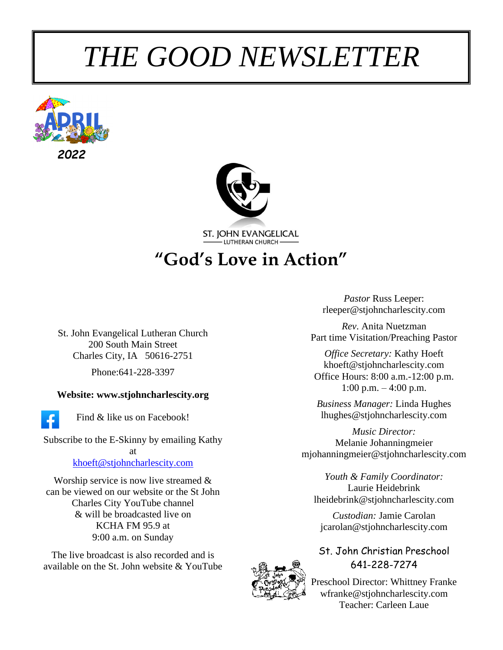# *THE GOOD NEWSLETTER*





ST. JOHN EVANGELICAL

**"God's Love in Action"**

St. John Evangelical Lutheran Church 200 South Main Street Charles City, IA 50616-2751

Phone:641-228-3397

#### **Website: www.stjohncharlescity.org**



Find & like us on Facebook!

Subscribe to the E-Skinny by emailing Kathy at [khoeft@stjohncharlescity.com](mailto:khoeft@stjohncharlescity.com)

Worship service is now live streamed & can be viewed on our website or the St John Charles City YouTube channel & will be broadcasted live on KCHA FM 95.9 at 9:00 a.m. on Sunday

The live broadcast is also recorded and is available on the St. John website & YouTube

*Pastor* Russ Leeper: [rleeper@stjohncharlescity.com](mailto:rleeper@stjohncharlescity.com)

*Rev*. Anita Nuetzman Part time Visitation/Preaching Pastor

*Office Secretary:* Kathy Hoeft [khoeft@stjohncharlescity.com](mailto:khoeft@stjohncharlescity.com) Office Hours: 8:00 a.m.-12:00 p.m. 1:00 p.m.  $-4:00$  p.m.

*Business Manager:* Linda Hughes lhughes@stjohncharlescity.com

*Music Director:* Melanie Johanningmeier [mjohanningmeier@stjohncharlescity.com](mailto:mjohanningmeier@stjohncharlescity.com)

*Youth & Family Coordinator:* Laurie Heidebrink [lheidebrink@stjohncharlescity.com](mailto:lheidebrink@stjohncharlescity.com)

*Custodian:* Jamie Carolan [jcarolan@stjohncharlescity.com](mailto:jcarolan@stjohncharlescity.com)

St. John Christian Preschool 641-228-7274



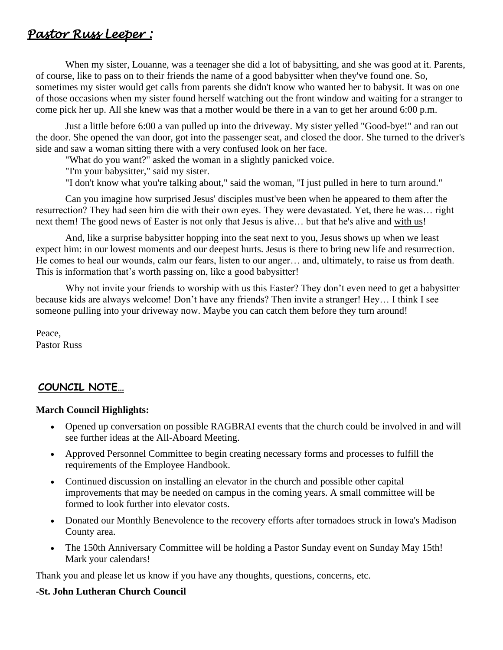## *Pastor Russ Leeper :*

When my sister, Louanne, was a teenager she did a lot of babysitting, and she was good at it. Parents, of course, like to pass on to their friends the name of a good babysitter when they've found one. So, sometimes my sister would get calls from parents she didn't know who wanted her to babysit. It was on one of those occasions when my sister found herself watching out the front window and waiting for a stranger to come pick her up. All she knew was that a mother would be there in a van to get her around 6:00 p.m.

Just a little before 6:00 a van pulled up into the driveway. My sister yelled "Good-bye!" and ran out the door. She opened the van door, got into the passenger seat, and closed the door. She turned to the driver's side and saw a woman sitting there with a very confused look on her face.

"What do you want?" asked the woman in a slightly panicked voice.

"I'm your babysitter," said my sister.

"I don't know what you're talking about," said the woman, "I just pulled in here to turn around."

Can you imagine how surprised Jesus' disciples must've been when he appeared to them after the resurrection? They had seen him die with their own eyes. They were devastated. Yet, there he was… right next them! The good news of Easter is not only that Jesus is alive… but that he's alive and with us!

And, like a surprise babysitter hopping into the seat next to you, Jesus shows up when we least expect him: in our lowest moments and our deepest hurts. Jesus is there to bring new life and resurrection. He comes to heal our wounds, calm our fears, listen to our anger… and, ultimately, to raise us from death. This is information that's worth passing on, like a good babysitter!

Why not invite your friends to worship with us this Easter? They don't even need to get a babysitter because kids are always welcome! Don't have any friends? Then invite a stranger! Hey… I think I see someone pulling into your driveway now. Maybe you can catch them before they turn around!

Peace, Pastor Russ

#### **COUNCIL NOTE…**

#### **March Council Highlights:**

- Opened up conversation on possible RAGBRAI events that the church could be involved in and will see further ideas at the All-Aboard Meeting.
- Approved Personnel Committee to begin creating necessary forms and processes to fulfill the requirements of the Employee Handbook.
- Continued discussion on installing an elevator in the church and possible other capital improvements that may be needed on campus in the coming years. A small committee will be formed to look further into elevator costs.
- Donated our Monthly Benevolence to the recovery efforts after tornadoes struck in Iowa's Madison County area.
- The 150th Anniversary Committee will be holding a Pastor Sunday event on Sunday May 15th! Mark your calendars!

Thank you and please let us know if you have any thoughts, questions, concerns, etc.

#### **-St. John Lutheran Church Council**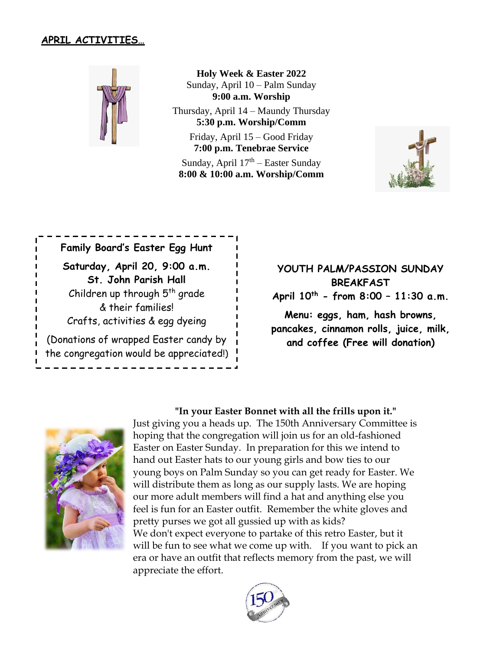#### **APRIL ACTIVITIES…**



**Holy Week & Easter 2022** Sunday, April 10 – Palm Sunday **9:00 a.m. Worship**

Thursday, April 14 – Maundy Thursday **5:30 p.m. Worship/Comm**

Friday, April 15 – Good Friday **7:00 p.m. Tenebrae Service**

Sunday, April 17<sup>th</sup> – Easter Sunday **8:00 & 10:00 a.m. Worship/Comm**



**Family Board's Easter Egg Hunt Saturday, April 20, 9:00 a.m. St. John Parish Hall** Children up through  $5<sup>th</sup>$  grade & their families! Crafts, activities & egg dyeing (Donations of wrapped Easter candy by the congregation would be appreciated!)

**YOUTH PALM/PASSION SUNDAY BREAKFAST April 10 th - from 8:00 – 11:30 a.m.**

**Menu: eggs, ham, hash browns, pancakes, cinnamon rolls, juice, milk, and coffee (Free will donation)**



 **"In your Easter Bonnet with all the frills upon it."**

Just giving you a heads up. The 150th Anniversary Committee is hoping that the congregation will join us for an old-fashioned Easter on Easter Sunday. In preparation for this we intend to hand out Easter hats to our young girls and bow ties to our young boys on Palm Sunday so you can get ready for Easter. We will distribute them as long as our supply lasts. We are hoping our more adult members will find a hat and anything else you feel is fun for an Easter outfit. Remember the white gloves and pretty purses we got all gussied up with as kids? We don't expect everyone to partake of this retro Easter, but it will be fun to see what we come up with. If you want to pick an era or have an outfit that reflects memory from the past, we will appreciate the effort.

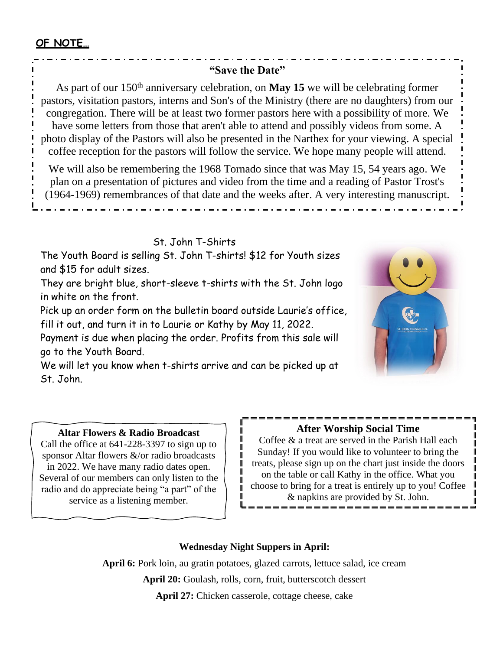#### **"Save the Date"**

As part of our 150<sup>th</sup> anniversary celebration, on **May 15** we will be celebrating former pastors, visitation pastors, interns and Son's of the Ministry (there are no daughters) from our congregation. There will be at least two former pastors here with a possibility of more. We have some letters from those that aren't able to attend and possibly videos from some. A photo display of the Pastors will also be presented in the Narthex for your viewing. A special coffee reception for the pastors will follow the service. We hope many people will attend.

We will also be remembering the 1968 Tornado since that was May 15, 54 years ago. We plan on a presentation of pictures and video from the time and a reading of Pastor Trost's (1964-1969) remembrances of that date and the weeks after. A very interesting manuscript.

#### St. John T-Shirts

The Youth Board is selling St. John T-shirts! \$12 for Youth sizes and \$15 for adult sizes.

They are bright blue, short-sleeve t-shirts with the St. John logo in white on the front.

Pick up an order form on the bulletin board outside Laurie's office, fill it out, and turn it in to Laurie or Kathy by May 11, 2022.

Payment is due when placing the order. Profits from this sale will go to the Youth Board.

We will let you know when t-shirts arrive and can be picked up at St. John.



#### **Altar Flowers & Radio Broadcast**

Call the office at 641-228-3397 to sign up to sponsor Altar flowers &/or radio broadcasts in 2022. We have many radio dates open. Several of our members can only listen to the radio and do appreciate being "a part" of the service as a listening member.

#### **After Worship Social Time**

Coffee & a treat are served in the Parish Hall each Sunday! If you would like to volunteer to bring the treats, please sign up on the chart just inside the doors on the table or call Kathy in the office. What you choose to bring for a treat is entirely up to you! Coffee & napkins are provided by St. John.

#### **Wednesday Night Suppers in April:**

 $\mathbf{I}$ 

**April 6:** Pork loin, au gratin potatoes, glazed carrots, lettuce salad, ice cream **April 20:** Goulash, rolls, corn, fruit, butterscotch dessert **April 27:** Chicken casserole, cottage cheese, cake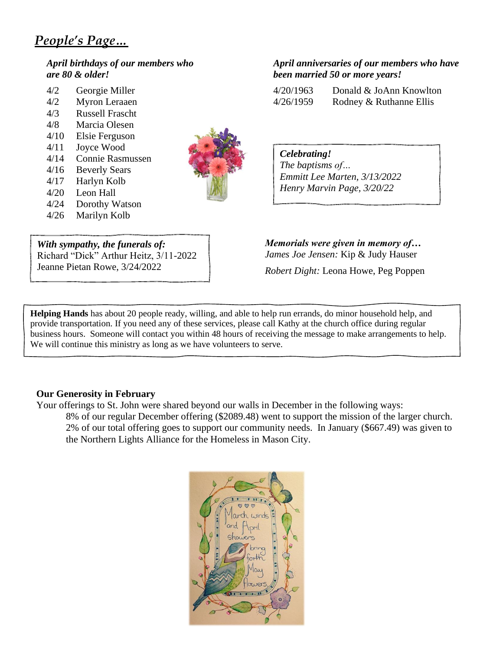## *People's Page…*

#### *April birthdays of our members who are 80 & older!*

| 4/2  | Georgie Miller          |
|------|-------------------------|
| 4/2  | Myron Leraaen           |
| 4/3  | <b>Russell Frascht</b>  |
| 4/8  | Marcia Olesen           |
| 4/10 | Elsie Ferguson          |
| 4/11 | Joyce Wood              |
| 4/14 | <b>Connie Rasmussen</b> |
| 4/16 | <b>Beverly Sears</b>    |
| 4/17 | Harlyn Kolb             |
| 4/20 | Leon Hall               |
| 4/24 | Dorothy Watson          |



*With sympathy, the funerals of:* Richard "Dick" Arthur Heitz, 3/11-2022

Jeanne Pietan Rowe, 3/24/2022

*Memorials were given in memory of… James Joe Jensen:* Kip & Judy Hauser

*Robert Dight:* Leona Howe, Peg Poppen

**Helping Hands** has about 20 people ready, willing, and able to help run errands, do minor household help, and provide transportation. If you need any of these services, please call Kathy at the church office during regular business hours. Someone will contact you within 48 hours of receiving the message to make arrangements to help. We will continue this ministry as long as we have volunteers to serve.

#### **Our Generosity in February**

Your offerings to St. John were shared beyond our walls in December in the following ways: 8% of our regular December offering (\$2089.48) went to support the mission of the larger church. 2% of our total offering goes to support our community needs. In January (\$667.49) was given to the Northern Lights Alliance for the Homeless in Mason City.



#### *April anniversaries of our members who have been married 50 or more years!*

| 4/20/1963 | Donald & JoAnn Knowlton |
|-----------|-------------------------|
| 4/26/1959 | Rodney & Ruthanne Ellis |

*Celebrating! The baptisms of… Emmitt Lee Marten, 3/13/2022 Henry Marvin Page, 3/20/22*

4/26 Marilyn Kolb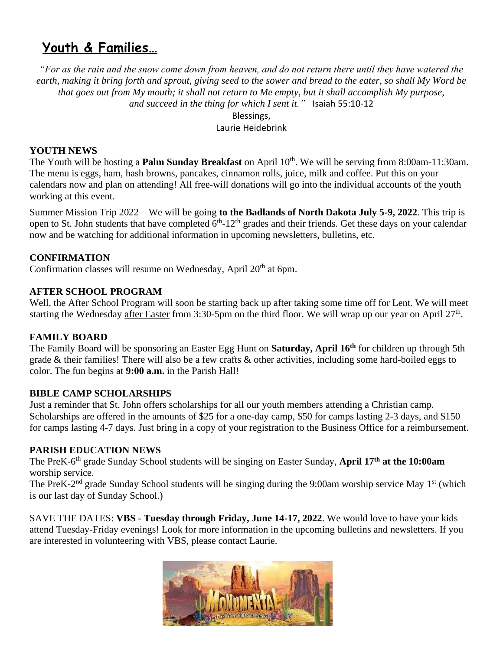## **Youth & Families…**

*"For as the rain and the snow come down from heaven, and do not return there until they have watered the*  earth, making it bring forth and sprout, giving seed to the sower and bread to the eater, so shall My Word be *that goes out from My mouth; it shall not return to Me empty, but it shall accomplish My purpose, and succeed in the thing for which I sent it."* Isaiah 55:10-12

Blessings,

Laurie Heidebrink

#### **YOUTH NEWS**

The Youth will be hosting a **Palm Sunday Breakfast** on April 10<sup>th</sup>. We will be serving from 8:00am-11:30am. The menu is eggs, ham, hash browns, pancakes, cinnamon rolls, juice, milk and coffee. Put this on your calendars now and plan on attending! All free-will donations will go into the individual accounts of the youth working at this event.

Summer Mission Trip 2022 – We will be going **to the Badlands of North Dakota July 5-9, 2022**. This trip is open to St. John students that have completed  $6<sup>th</sup>$ -12<sup>th</sup> grades and their friends. Get these days on your calendar now and be watching for additional information in upcoming newsletters, bulletins, etc.

#### **CONFIRMATION**

Confirmation classes will resume on Wednesday, April 20<sup>th</sup> at 6pm.

#### **AFTER SCHOOL PROGRAM**

Well, the After School Program will soon be starting back up after taking some time off for Lent. We will meet starting the Wednesday after Easter from 3:30-5pm on the third floor. We will wrap up our year on April 27<sup>th</sup>.

#### **FAMILY BOARD**

The Family Board will be sponsoring an Easter Egg Hunt on **Saturday, April 16th** for children up through 5th grade & their families! There will also be a few crafts & other activities, including some hard-boiled eggs to color. The fun begins at **9:00 a.m.** in the Parish Hall!

#### **BIBLE CAMP SCHOLARSHIPS**

Just a reminder that St. John offers scholarships for all our youth members attending a Christian camp. Scholarships are offered in the amounts of \$25 for a one-day camp, \$50 for camps lasting 2-3 days, and \$150 for camps lasting 4-7 days. Just bring in a copy of your registration to the Business Office for a reimbursement.

#### **PARISH EDUCATION NEWS**

The PreK-6 th grade Sunday School students will be singing on Easter Sunday, **April 17th at the 10:00am** worship service.

The PreK-2<sup>nd</sup> grade Sunday School students will be singing during the 9:00am worship service May 1<sup>st</sup> (which is our last day of Sunday School.)

SAVE THE DATES: **VBS** - **Tuesday through Friday, June 14-17, 2022**. We would love to have your kids attend Tuesday-Friday evenings! Look for more information in the upcoming bulletins and newsletters. If you are interested in volunteering with VBS, please contact Laurie.

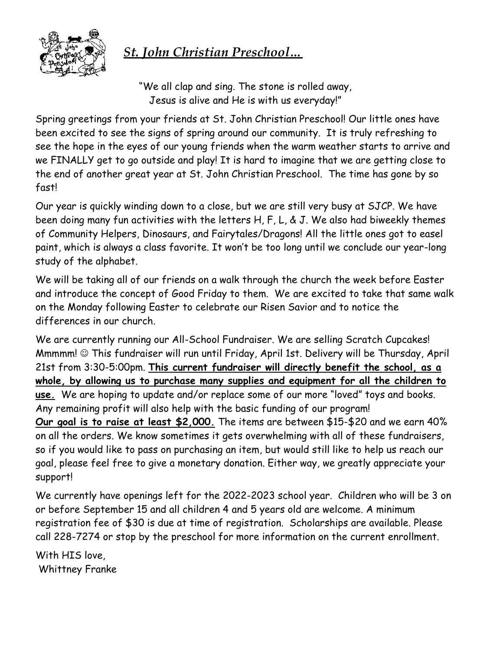

## *St. John Christian Preschool…*

"We all clap and sing. The stone is rolled away, Jesus is alive and He is with us everyday!"

Spring greetings from your friends at St. John Christian Preschool! Our little ones have been excited to see the signs of spring around our community. It is truly refreshing to see the hope in the eyes of our young friends when the warm weather starts to arrive and we FINALLY get to go outside and play! It is hard to imagine that we are getting close to the end of another great year at St. John Christian Preschool. The time has gone by so fast!

Our year is quickly winding down to a close, but we are still very busy at SJCP. We have been doing many fun activities with the letters H, F, L, & J. We also had biweekly themes of Community Helpers, Dinosaurs, and Fairytales/Dragons! All the little ones got to easel paint, which is always a class favorite. It won't be too long until we conclude our year-long study of the alphabet.

We will be taking all of our friends on a walk through the church the week before Easter and introduce the concept of Good Friday to them. We are excited to take that same walk on the Monday following Easter to celebrate our Risen Savior and to notice the differences in our church.

We are currently running our All-School Fundraiser. We are selling Scratch Cupcakes! Mmmmm! ☺ This fundraiser will run until Friday, April 1st. Delivery will be Thursday, April 21st from 3:30-5:00pm. **This current fundraiser will directly benefit the school, as a whole, by allowing us to purchase many supplies and equipment for all the children to use.** We are hoping to update and/or replace some of our more "loved" toys and books. Any remaining profit will also help with the basic funding of our program! **Our goal is to raise at least \$2,000.** The items are between \$15-\$20 and we earn 40% on all the orders. We know sometimes it gets overwhelming with all of these fundraisers, so if you would like to pass on purchasing an item, but would still like to help us reach our goal, please feel free to give a monetary donation. Either way, we greatly appreciate your support!

We currently have openings left for the 2022-2023 school year. Children who will be 3 on or before September 15 and all children 4 and 5 years old are welcome. A minimum registration fee of \$30 is due at time of registration. Scholarships are available. Please call 228-7274 or stop by the preschool for more information on the current enrollment.

With HIS love, Whittney Franke